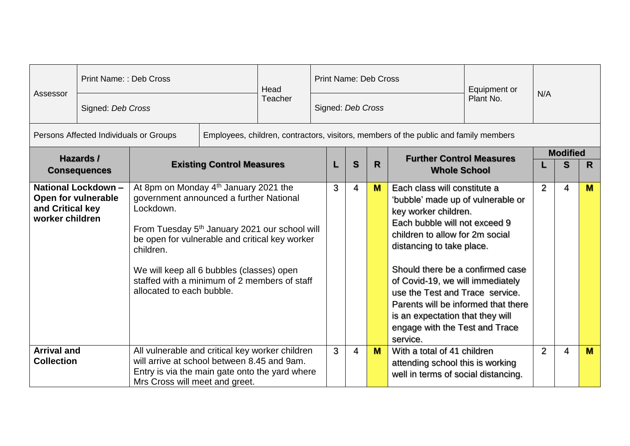| Assessor                                                             | Print Name: : Deb Cross<br>Signed: Deb Cross |                                                                                                                                                                                                                                                                                                                                                                 | Head<br>Teacher | <b>Print Name: Deb Cross</b><br>Plant No.<br>Signed: Deb Cross |   |              | Equipment or                                           | N/A                                                                                                                                                                                                                                                                                                                                                                                                                            |  |                      |    |   |
|----------------------------------------------------------------------|----------------------------------------------|-----------------------------------------------------------------------------------------------------------------------------------------------------------------------------------------------------------------------------------------------------------------------------------------------------------------------------------------------------------------|-----------------|----------------------------------------------------------------|---|--------------|--------------------------------------------------------|--------------------------------------------------------------------------------------------------------------------------------------------------------------------------------------------------------------------------------------------------------------------------------------------------------------------------------------------------------------------------------------------------------------------------------|--|----------------------|----|---|
|                                                                      | Persons Affected Individuals or Groups       |                                                                                                                                                                                                                                                                                                                                                                 |                 |                                                                |   |              |                                                        | Employees, children, contractors, visitors, members of the public and family members                                                                                                                                                                                                                                                                                                                                           |  |                      |    |   |
| Hazards /<br><b>Existing Control Measures</b><br><b>Consequences</b> |                                              |                                                                                                                                                                                                                                                                                                                                                                 |                 |                                                                | S | $\mathsf{R}$ | <b>Further Control Measures</b><br><b>Whole School</b> |                                                                                                                                                                                                                                                                                                                                                                                                                                |  | <b>Modified</b><br>S | R. |   |
| and Critical key<br>worker children                                  | National Lockdown -<br>Open for vulnerable   | At 8pm on Monday 4 <sup>th</sup> January 2021 the<br>government announced a further National<br>Lockdown.<br>From Tuesday 5 <sup>th</sup> January 2021 our school will<br>be open for vulnerable and critical key worker<br>children.<br>We will keep all 6 bubbles (classes) open<br>staffed with a minimum of 2 members of staff<br>allocated to each bubble. |                 |                                                                | 3 | 4            | M                                                      | Each class will constitute a<br>'bubble' made up of vulnerable or<br>key worker children.<br>Each bubble will not exceed 9<br>children to allow for 2m social<br>distancing to take place.<br>Should there be a confirmed case<br>of Covid-19, we will immediately<br>use the Test and Trace service.<br>Parents will be informed that there<br>is an expectation that they will<br>engage with the Test and Trace<br>service. |  | $\overline{2}$       | 4  | M |
| <b>Arrival and</b><br><b>Collection</b>                              |                                              | All vulnerable and critical key worker children<br>will arrive at school between 8.45 and 9am.<br>Entry is via the main gate onto the yard where<br>Mrs Cross will meet and greet.                                                                                                                                                                              |                 |                                                                | 3 | 4            | M                                                      | With a total of 41 children<br>attending school this is working<br>well in terms of social distancing.                                                                                                                                                                                                                                                                                                                         |  | $\overline{2}$       | 4  | M |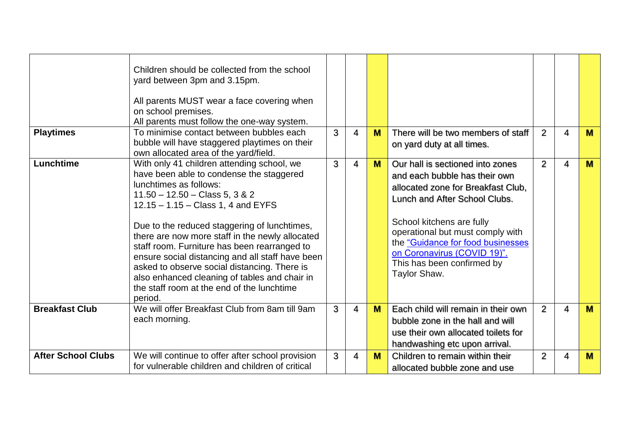| <b>Playtimes</b>          | Children should be collected from the school<br>yard between 3pm and 3.15pm.<br>All parents MUST wear a face covering when<br>on school premises.<br>All parents must follow the one-way system.<br>To minimise contact between bubbles each<br>bubble will have staggered playtimes on their<br>own allocated area of the yard/field.                                                                                                                                                                                                                        | 3 | 4 | M | There will be two members of staff<br>on yard duty at all times.                                                                                                                                                                                                                                                            | $\overline{2}$ | 4 | <b>M</b> |
|---------------------------|---------------------------------------------------------------------------------------------------------------------------------------------------------------------------------------------------------------------------------------------------------------------------------------------------------------------------------------------------------------------------------------------------------------------------------------------------------------------------------------------------------------------------------------------------------------|---|---|---|-----------------------------------------------------------------------------------------------------------------------------------------------------------------------------------------------------------------------------------------------------------------------------------------------------------------------------|----------------|---|----------|
| Lunchtime                 | With only 41 children attending school, we<br>have been able to condense the staggered<br>lunchtimes as follows:<br>$11.50 - 12.50 - Class 5, 3 & 2$<br>$12.15 - 1.15 - Class 1, 4$ and EYFS<br>Due to the reduced staggering of lunchtimes,<br>there are now more staff in the newly allocated<br>staff room. Furniture has been rearranged to<br>ensure social distancing and all staff have been<br>asked to observe social distancing. There is<br>also enhanced cleaning of tables and chair in<br>the staff room at the end of the lunchtime<br>period. | 3 | 4 | M | Our hall is sectioned into zones<br>and each bubble has their own<br>allocated zone for Breakfast Club,<br>Lunch and After School Clubs.<br>School kitchens are fully<br>operational but must comply with<br>the "Guidance for food businesses<br>on Coronavirus (COVID 19)".<br>This has been confirmed by<br>Taylor Shaw. | 2              | 4 | <b>M</b> |
| <b>Breakfast Club</b>     | We will offer Breakfast Club from 8am till 9am<br>each morning.                                                                                                                                                                                                                                                                                                                                                                                                                                                                                               | 3 | 4 | M | Each child will remain in their own<br>bubble zone in the hall and will<br>use their own allocated toilets for<br>handwashing etc upon arrival.                                                                                                                                                                             | $\overline{2}$ | 4 | <b>M</b> |
| <b>After School Clubs</b> | We will continue to offer after school provision<br>for vulnerable children and children of critical                                                                                                                                                                                                                                                                                                                                                                                                                                                          | 3 | 4 | M | Children to remain within their<br>allocated bubble zone and use                                                                                                                                                                                                                                                            | $\overline{2}$ | 4 | M        |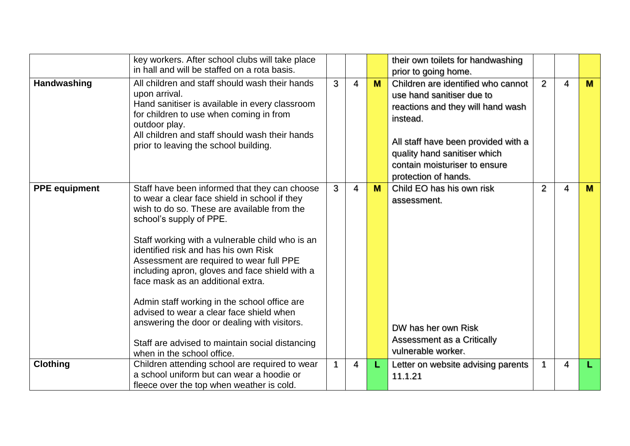|                      | key workers. After school clubs will take place<br>in hall and will be staffed on a rota basis.                                                                                                                                                                                                                                                                                                                                                                                                                                                                                                                                     |              |   |   | their own toilets for handwashing<br>prior to going home.                                                                                                                                                                                        |                |   |          |
|----------------------|-------------------------------------------------------------------------------------------------------------------------------------------------------------------------------------------------------------------------------------------------------------------------------------------------------------------------------------------------------------------------------------------------------------------------------------------------------------------------------------------------------------------------------------------------------------------------------------------------------------------------------------|--------------|---|---|--------------------------------------------------------------------------------------------------------------------------------------------------------------------------------------------------------------------------------------------------|----------------|---|----------|
| Handwashing          | All children and staff should wash their hands<br>upon arrival.<br>Hand sanitiser is available in every classroom<br>for children to use when coming in from<br>outdoor play.<br>All children and staff should wash their hands<br>prior to leaving the school building.                                                                                                                                                                                                                                                                                                                                                            | 3            | 4 | M | Children are identified who cannot<br>use hand sanitiser due to<br>reactions and they will hand wash<br>instead.<br>All staff have been provided with a<br>quality hand sanitiser which<br>contain moisturiser to ensure<br>protection of hands. | 2              | 4 | M        |
| <b>PPE</b> equipment | Staff have been informed that they can choose<br>to wear a clear face shield in school if they<br>wish to do so. These are available from the<br>school's supply of PPE.<br>Staff working with a vulnerable child who is an<br>identified risk and has his own Risk<br>Assessment are required to wear full PPE<br>including apron, gloves and face shield with a<br>face mask as an additional extra.<br>Admin staff working in the school office are<br>advised to wear a clear face shield when<br>answering the door or dealing with visitors.<br>Staff are advised to maintain social distancing<br>when in the school office. | 3            | 4 | M | Child EO has his own risk<br>assessment.<br>DW has her own Risk<br>Assessment as a Critically<br>vulnerable worker.                                                                                                                              | $\overline{2}$ | 4 | <b>M</b> |
| <b>Clothing</b>      | Children attending school are required to wear<br>a school uniform but can wear a hoodie or<br>fleece over the top when weather is cold.                                                                                                                                                                                                                                                                                                                                                                                                                                                                                            | $\mathbf{1}$ | 4 | L | Letter on website advising parents<br>11.1.21                                                                                                                                                                                                    | 1              | 4 |          |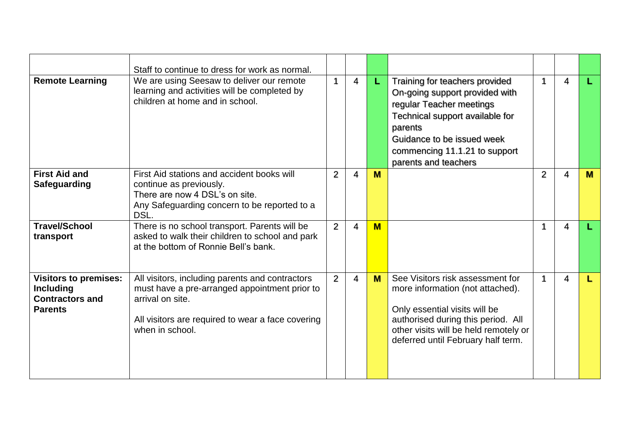|                                                                                              | Staff to continue to dress for work as normal.                                                                                                                                               |                |   |     |                                                                                                                                                                                                                                   |                |   |   |
|----------------------------------------------------------------------------------------------|----------------------------------------------------------------------------------------------------------------------------------------------------------------------------------------------|----------------|---|-----|-----------------------------------------------------------------------------------------------------------------------------------------------------------------------------------------------------------------------------------|----------------|---|---|
| <b>Remote Learning</b>                                                                       | We are using Seesaw to deliver our remote<br>learning and activities will be completed by<br>children at home and in school.                                                                 | $\mathbf 1$    | 4 | L   | Training for teachers provided<br>On-going support provided with<br>regular Teacher meetings<br>Technical support available for<br>parents<br>Guidance to be issued week<br>commencing 11.1.21 to support<br>parents and teachers |                | 4 |   |
| <b>First Aid and</b><br><b>Safeguarding</b>                                                  | First Aid stations and accident books will<br>continue as previously.<br>There are now 4 DSL's on site.<br>Any Safeguarding concern to be reported to a<br>DSL.                              | $\overline{2}$ | 4 | M   |                                                                                                                                                                                                                                   | $\overline{2}$ | 4 | M |
| <b>Travel/School</b><br>transport                                                            | There is no school transport. Parents will be<br>asked to walk their children to school and park<br>at the bottom of Ronnie Bell's bank.                                                     | 2              | 4 | $M$ |                                                                                                                                                                                                                                   | 1              | 4 |   |
| <b>Visitors to premises:</b><br><b>Including</b><br><b>Contractors and</b><br><b>Parents</b> | All visitors, including parents and contractors<br>must have a pre-arranged appointment prior to<br>arrival on site.<br>All visitors are required to wear a face covering<br>when in school. | 2              | 4 | M   | See Visitors risk assessment for<br>more information (not attached).<br>Only essential visits will be<br>authorised during this period. All<br>other visits will be held remotely or<br>deferred until February half term.        | 1              | 4 |   |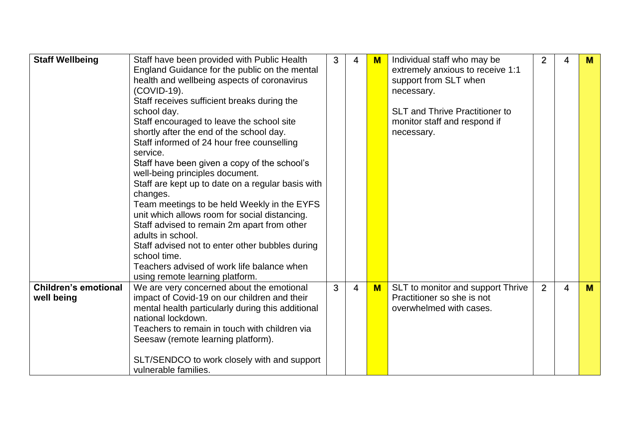| <b>Staff Wellbeing</b>                    | Staff have been provided with Public Health<br>England Guidance for the public on the mental<br>health and wellbeing aspects of coronavirus<br>(COVID-19).<br>Staff receives sufficient breaks during the<br>school day.<br>Staff encouraged to leave the school site<br>shortly after the end of the school day.<br>Staff informed of 24 hour free counselling<br>service.<br>Staff have been given a copy of the school's<br>well-being principles document.<br>Staff are kept up to date on a regular basis with<br>changes.<br>Team meetings to be held Weekly in the EYFS<br>unit which allows room for social distancing.<br>Staff advised to remain 2m apart from other<br>adults in school.<br>Staff advised not to enter other bubbles during<br>school time.<br>Teachers advised of work life balance when<br>using remote learning platform. | 3 | 4              | $\mathbf M$ | Individual staff who may be<br>extremely anxious to receive 1:1<br>support from SLT when<br>necessary.<br><b>SLT and Thrive Practitioner to</b><br>monitor staff and respond if<br>necessary. | 2              | 4 | M        |
|-------------------------------------------|---------------------------------------------------------------------------------------------------------------------------------------------------------------------------------------------------------------------------------------------------------------------------------------------------------------------------------------------------------------------------------------------------------------------------------------------------------------------------------------------------------------------------------------------------------------------------------------------------------------------------------------------------------------------------------------------------------------------------------------------------------------------------------------------------------------------------------------------------------|---|----------------|-------------|-----------------------------------------------------------------------------------------------------------------------------------------------------------------------------------------------|----------------|---|----------|
| <b>Children's emotional</b><br>well being | We are very concerned about the emotional<br>impact of Covid-19 on our children and their<br>mental health particularly during this additional<br>national lockdown.<br>Teachers to remain in touch with children via<br>Seesaw (remote learning platform).<br>SLT/SENDCO to work closely with and support<br>vulnerable families.                                                                                                                                                                                                                                                                                                                                                                                                                                                                                                                      | 3 | $\overline{4}$ | $M$         | SLT to monitor and support Thrive<br>Practitioner so she is not<br>overwhelmed with cases.                                                                                                    | $\overline{2}$ | 4 | <b>M</b> |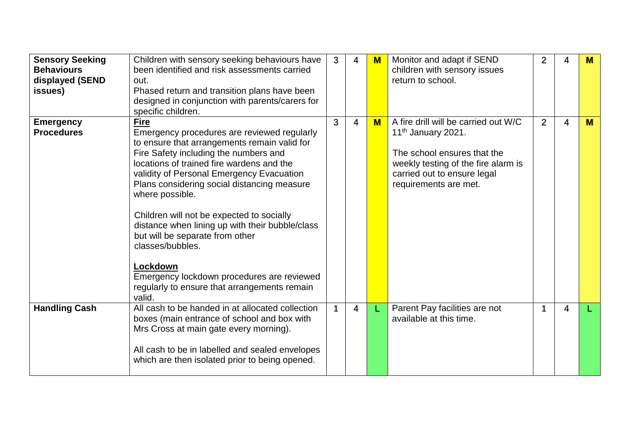| <b>Sensory Seeking</b><br><b>Behaviours</b><br>displayed (SEND<br>issues) | Children with sensory seeking behaviours have<br>been identified and risk assessments carried<br>out.<br>Phased return and transition plans have been<br>designed in conjunction with parents/carers for<br>specific children.                                                                                                                                                                                                                                                                                                                                                             | 3            | 4 | $M$                     | Monitor and adapt if SEND<br>children with sensory issues<br>return to school.                                                                                                                       | 2 | 4 | M |
|---------------------------------------------------------------------------|--------------------------------------------------------------------------------------------------------------------------------------------------------------------------------------------------------------------------------------------------------------------------------------------------------------------------------------------------------------------------------------------------------------------------------------------------------------------------------------------------------------------------------------------------------------------------------------------|--------------|---|-------------------------|------------------------------------------------------------------------------------------------------------------------------------------------------------------------------------------------------|---|---|---|
| <b>Emergency</b><br><b>Procedures</b>                                     | <b>Fire</b><br>Emergency procedures are reviewed regularly<br>to ensure that arrangements remain valid for<br>Fire Safety including the numbers and<br>locations of trained fire wardens and the<br>validity of Personal Emergency Evacuation<br>Plans considering social distancing measure<br>where possible.<br>Children will not be expected to socially<br>distance when lining up with their bubble/class<br>but will be separate from other<br>classes/bubbles.<br>Lockdown<br>Emergency lockdown procedures are reviewed<br>regularly to ensure that arrangements remain<br>valid. | 3            | 4 | $\overline{\mathbf{M}}$ | A fire drill will be carried out W/C<br>11 <sup>th</sup> January 2021.<br>The school ensures that the<br>weekly testing of the fire alarm is<br>carried out to ensure legal<br>requirements are met. | 2 | 4 | M |
| <b>Handling Cash</b>                                                      | All cash to be handed in at allocated collection<br>boxes (main entrance of school and box with<br>Mrs Cross at main gate every morning).<br>All cash to be in labelled and sealed envelopes<br>which are then isolated prior to being opened.                                                                                                                                                                                                                                                                                                                                             | $\mathbf{1}$ | 4 | L                       | Parent Pay facilities are not<br>available at this time.                                                                                                                                             |   | 4 |   |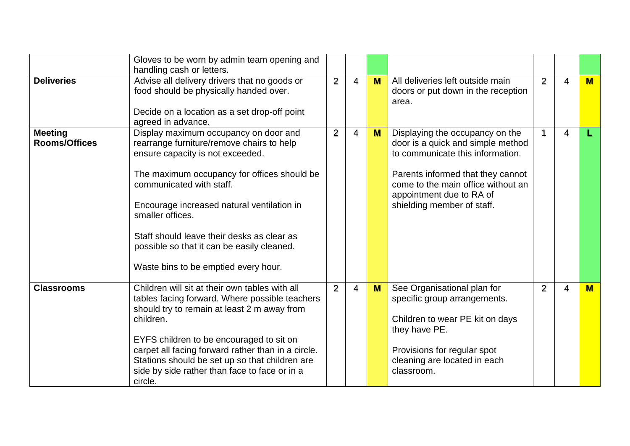|                                        | Gloves to be worn by admin team opening and<br>handling cash or letters.                                                                                                                                                                                                                                                                                                                                |                |                |   |                                                                                                                                                                                                                                               |   |   |     |
|----------------------------------------|---------------------------------------------------------------------------------------------------------------------------------------------------------------------------------------------------------------------------------------------------------------------------------------------------------------------------------------------------------------------------------------------------------|----------------|----------------|---|-----------------------------------------------------------------------------------------------------------------------------------------------------------------------------------------------------------------------------------------------|---|---|-----|
| <b>Deliveries</b>                      | Advise all delivery drivers that no goods or<br>food should be physically handed over.<br>Decide on a location as a set drop-off point<br>agreed in advance.                                                                                                                                                                                                                                            | $\overline{2}$ | $\overline{4}$ | M | All deliveries left outside main<br>doors or put down in the reception<br>area.                                                                                                                                                               | 2 | 4 | $M$ |
| <b>Meeting</b><br><b>Rooms/Offices</b> | Display maximum occupancy on door and<br>rearrange furniture/remove chairs to help<br>ensure capacity is not exceeded.<br>The maximum occupancy for offices should be<br>communicated with staff.<br>Encourage increased natural ventilation in<br>smaller offices.<br>Staff should leave their desks as clear as<br>possible so that it can be easily cleaned.<br>Waste bins to be emptied every hour. | $\overline{2}$ | 4              | M | Displaying the occupancy on the<br>door is a quick and simple method<br>to communicate this information.<br>Parents informed that they cannot<br>come to the main office without an<br>appointment due to RA of<br>shielding member of staff. | 1 | 4 |     |
| <b>Classrooms</b>                      | Children will sit at their own tables with all<br>tables facing forward. Where possible teachers<br>should try to remain at least 2 m away from<br>children.<br>EYFS children to be encouraged to sit on<br>carpet all facing forward rather than in a circle.<br>Stations should be set up so that children are<br>side by side rather than face to face or in a<br>circle.                            | 2              | $\overline{4}$ | M | See Organisational plan for<br>specific group arrangements.<br>Children to wear PE kit on days<br>they have PE.<br>Provisions for regular spot<br>cleaning are located in each<br>classroom.                                                  | 2 | 4 | M   |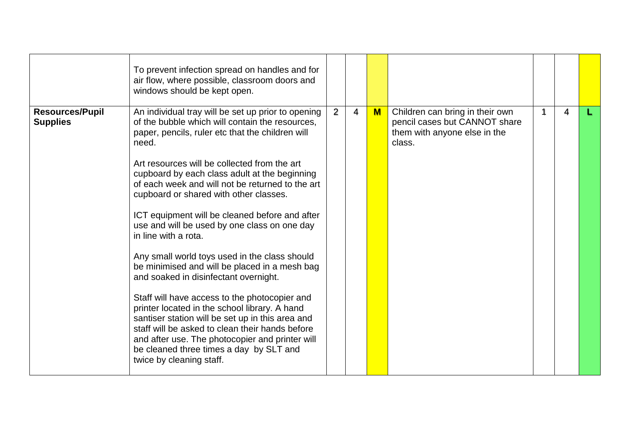|                                           | To prevent infection spread on handles and for<br>air flow, where possible, classroom doors and<br>windows should be kept open.                                                                                                                                                                                                                                                                                                                                                                                                                                                                                                                                                                                                                                                                                                                                                                                                                                           |                |   |              |                                                                                                            |   |   |  |
|-------------------------------------------|---------------------------------------------------------------------------------------------------------------------------------------------------------------------------------------------------------------------------------------------------------------------------------------------------------------------------------------------------------------------------------------------------------------------------------------------------------------------------------------------------------------------------------------------------------------------------------------------------------------------------------------------------------------------------------------------------------------------------------------------------------------------------------------------------------------------------------------------------------------------------------------------------------------------------------------------------------------------------|----------------|---|--------------|------------------------------------------------------------------------------------------------------------|---|---|--|
| <b>Resources/Pupil</b><br><b>Supplies</b> | An individual tray will be set up prior to opening<br>of the bubble which will contain the resources,<br>paper, pencils, ruler etc that the children will<br>need.<br>Art resources will be collected from the art<br>cupboard by each class adult at the beginning<br>of each week and will not be returned to the art<br>cupboard or shared with other classes.<br>ICT equipment will be cleaned before and after<br>use and will be used by one class on one day<br>in line with a rota.<br>Any small world toys used in the class should<br>be minimised and will be placed in a mesh bag<br>and soaked in disinfectant overnight.<br>Staff will have access to the photocopier and<br>printer located in the school library. A hand<br>santiser station will be set up in this area and<br>staff will be asked to clean their hands before<br>and after use. The photocopier and printer will<br>be cleaned three times a day by SLT and<br>twice by cleaning staff. | $\overline{2}$ | 4 | $\mathbf{M}$ | Children can bring in their own<br>pencil cases but CANNOT share<br>them with anyone else in the<br>class. | 1 | 4 |  |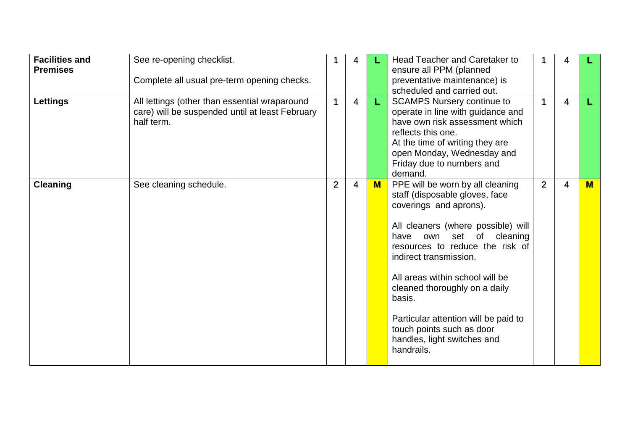| <b>Facilities and</b><br><b>Premises</b><br><b>Lettings</b> | See re-opening checklist.<br>Complete all usual pre-term opening checks.<br>All lettings (other than essential wraparound<br>care) will be suspended until at least February<br>half term. |                | 4<br>$\overline{\mathbf{4}}$ | L.             | Head Teacher and Caretaker to<br>ensure all PPM (planned<br>preventative maintenance) is<br>scheduled and carried out.<br><b>SCAMPS Nursery continue to</b><br>operate in line with guidance and<br>have own risk assessment which<br>reflects this one.<br>At the time of writing they are<br>open Monday, Wednesday and<br>Friday due to numbers and                                                                                          | 1              | 4<br>4 |     |
|-------------------------------------------------------------|--------------------------------------------------------------------------------------------------------------------------------------------------------------------------------------------|----------------|------------------------------|----------------|-------------------------------------------------------------------------------------------------------------------------------------------------------------------------------------------------------------------------------------------------------------------------------------------------------------------------------------------------------------------------------------------------------------------------------------------------|----------------|--------|-----|
| <b>Cleaning</b>                                             | See cleaning schedule.                                                                                                                                                                     | $\overline{2}$ | 4                            | $\blacksquare$ | demand.<br>PPE will be worn by all cleaning<br>staff (disposable gloves, face<br>coverings and aprons).<br>All cleaners (where possible) will<br>have<br>own set<br>of<br>cleaning<br>resources to reduce the risk of<br>indirect transmission.<br>All areas within school will be<br>cleaned thoroughly on a daily<br>basis.<br>Particular attention will be paid to<br>touch points such as door<br>handles, light switches and<br>handrails. | $\overline{2}$ | 4      | $M$ |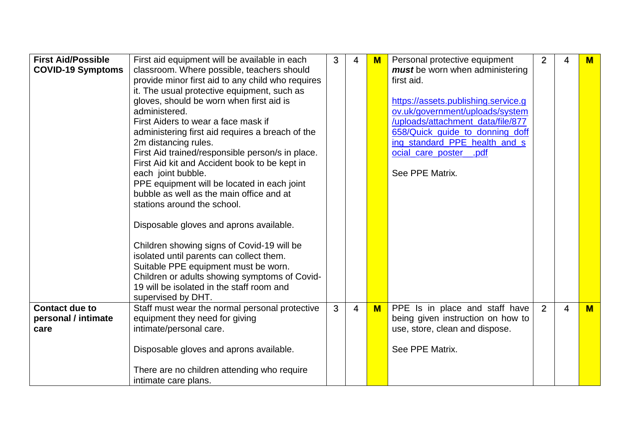| <b>First Aid/Possible</b><br><b>COVID-19 Symptoms</b> | First aid equipment will be available in each<br>classroom. Where possible, teachers should<br>provide minor first aid to any child who requires<br>it. The usual protective equipment, such as<br>gloves, should be worn when first aid is<br>administered.<br>First Aiders to wear a face mask if<br>administering first aid requires a breach of the<br>2m distancing rules.<br>First Aid trained/responsible person/s in place.<br>First Aid kit and Accident book to be kept in<br>each joint bubble.<br>PPE equipment will be located in each joint<br>bubble as well as the main office and at<br>stations around the school.<br>Disposable gloves and aprons available.<br>Children showing signs of Covid-19 will be<br>isolated until parents can collect them.<br>Suitable PPE equipment must be worn.<br>Children or adults showing symptoms of Covid-<br>19 will be isolated in the staff room and<br>supervised by DHT. | 3 | 4              | M   | Personal protective equipment<br>must be worn when administering<br>first aid.<br>https://assets.publishing.service.g<br>ov.uk/government/uploads/system<br>/uploads/attachment_data/file/877<br>658/Quick guide to donning doff<br>ing standard PPE health and s<br>ocial_care_poster_<br>$\_pdf$<br>See PPE Matrix. | $\overline{2}$ | 4 | $M$ |
|-------------------------------------------------------|---------------------------------------------------------------------------------------------------------------------------------------------------------------------------------------------------------------------------------------------------------------------------------------------------------------------------------------------------------------------------------------------------------------------------------------------------------------------------------------------------------------------------------------------------------------------------------------------------------------------------------------------------------------------------------------------------------------------------------------------------------------------------------------------------------------------------------------------------------------------------------------------------------------------------------------|---|----------------|-----|-----------------------------------------------------------------------------------------------------------------------------------------------------------------------------------------------------------------------------------------------------------------------------------------------------------------------|----------------|---|-----|
| <b>Contact due to</b><br>personal / intimate<br>care  | Staff must wear the normal personal protective<br>equipment they need for giving<br>intimate/personal care.<br>Disposable gloves and aprons available.<br>There are no children attending who require<br>intimate care plans.                                                                                                                                                                                                                                                                                                                                                                                                                                                                                                                                                                                                                                                                                                         | 3 | $\overline{4}$ | $M$ | PPE Is in place and staff have<br>being given instruction on how to<br>use, store, clean and dispose.<br>See PPE Matrix.                                                                                                                                                                                              | 2              | 4 | $M$ |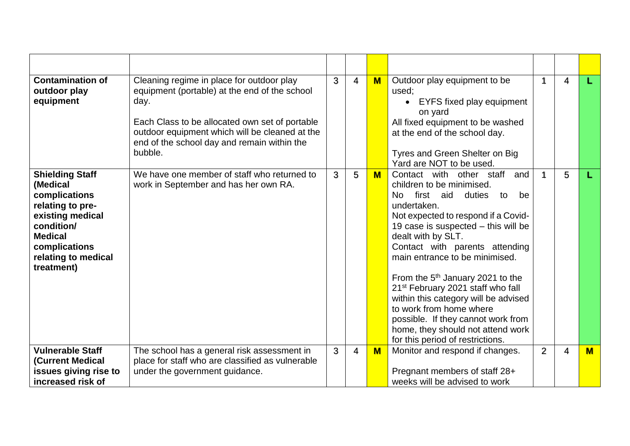| <b>Contamination of</b><br>outdoor play<br>equipment                                                                                                                              | Cleaning regime in place for outdoor play<br>equipment (portable) at the end of the school<br>day.<br>Each Class to be allocated own set of portable<br>outdoor equipment which will be cleaned at the<br>end of the school day and remain within the<br>bubble. | 3 | $\overline{4}$ | $M$ | Outdoor play equipment to be<br>used:<br><b>EYFS fixed play equipment</b><br>on yard<br>All fixed equipment to be washed<br>at the end of the school day.<br>Tyres and Green Shelter on Big<br>Yard are NOT to be used.                                                                                                                                                                                                                                                                                                                                                |   | 4 |     |
|-----------------------------------------------------------------------------------------------------------------------------------------------------------------------------------|------------------------------------------------------------------------------------------------------------------------------------------------------------------------------------------------------------------------------------------------------------------|---|----------------|-----|------------------------------------------------------------------------------------------------------------------------------------------------------------------------------------------------------------------------------------------------------------------------------------------------------------------------------------------------------------------------------------------------------------------------------------------------------------------------------------------------------------------------------------------------------------------------|---|---|-----|
| <b>Shielding Staff</b><br>(Medical<br>complications<br>relating to pre-<br>existing medical<br>condition/<br><b>Medical</b><br>complications<br>relating to medical<br>treatment) | We have one member of staff who returned to<br>work in September and has her own RA.                                                                                                                                                                             | 3 | 5              | $M$ | Contact with other staff<br>and<br>children to be minimised.<br>first aid<br>duties<br>No.<br>be<br>to<br>undertaken.<br>Not expected to respond if a Covid-<br>19 case is suspected - this will be<br>dealt with by SLT.<br>Contact with parents attending<br>main entrance to be minimised.<br>From the $5th$ January 2021 to the<br>21 <sup>st</sup> February 2021 staff who fall<br>within this category will be advised<br>to work from home where<br>possible. If they cannot work from<br>home, they should not attend work<br>for this period of restrictions. |   | 5 | L   |
| <b>Vulnerable Staff</b><br><b>(Current Medical</b><br>issues giving rise to<br>increased risk of                                                                                  | The school has a general risk assessment in<br>place for staff who are classified as vulnerable<br>under the government guidance.                                                                                                                                | 3 | 4              | $M$ | Monitor and respond if changes.<br>Pregnant members of staff 28+<br>weeks will be advised to work                                                                                                                                                                                                                                                                                                                                                                                                                                                                      | 2 | 4 | $M$ |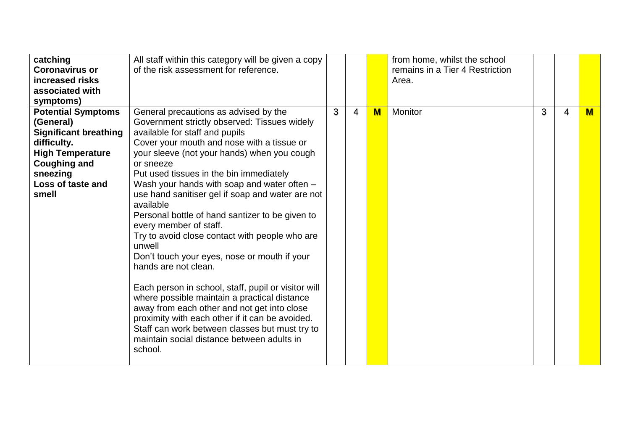| catching<br><b>Coronavirus or</b><br>increased risks<br>associated with | All staff within this category will be given a copy<br>of the risk assessment for reference. |   |   |   | from home, whilst the school<br>remains in a Tier 4 Restriction<br>Area. |   |   |          |
|-------------------------------------------------------------------------|----------------------------------------------------------------------------------------------|---|---|---|--------------------------------------------------------------------------|---|---|----------|
| symptoms)                                                               |                                                                                              |   |   |   |                                                                          |   |   |          |
| <b>Potential Symptoms</b>                                               | General precautions as advised by the                                                        | 3 | 4 | M | Monitor                                                                  | 3 | 4 | <b>M</b> |
| (General)                                                               | Government strictly observed: Tissues widely                                                 |   |   |   |                                                                          |   |   |          |
| <b>Significant breathing</b>                                            | available for staff and pupils                                                               |   |   |   |                                                                          |   |   |          |
| difficulty.                                                             | Cover your mouth and nose with a tissue or                                                   |   |   |   |                                                                          |   |   |          |
| <b>High Temperature</b>                                                 | your sleeve (not your hands) when you cough                                                  |   |   |   |                                                                          |   |   |          |
| <b>Coughing and</b>                                                     | or sneeze                                                                                    |   |   |   |                                                                          |   |   |          |
| sneezing                                                                | Put used tissues in the bin immediately                                                      |   |   |   |                                                                          |   |   |          |
| Loss of taste and<br>smell                                              | Wash your hands with soap and water often -                                                  |   |   |   |                                                                          |   |   |          |
|                                                                         | use hand sanitiser gel if soap and water are not<br>available                                |   |   |   |                                                                          |   |   |          |
|                                                                         | Personal bottle of hand santizer to be given to                                              |   |   |   |                                                                          |   |   |          |
|                                                                         | every member of staff.                                                                       |   |   |   |                                                                          |   |   |          |
|                                                                         | Try to avoid close contact with people who are<br>unwell                                     |   |   |   |                                                                          |   |   |          |
|                                                                         | Don't touch your eyes, nose or mouth if your                                                 |   |   |   |                                                                          |   |   |          |
|                                                                         | hands are not clean.                                                                         |   |   |   |                                                                          |   |   |          |
|                                                                         |                                                                                              |   |   |   |                                                                          |   |   |          |
|                                                                         | Each person in school, staff, pupil or visitor will                                          |   |   |   |                                                                          |   |   |          |
|                                                                         | where possible maintain a practical distance                                                 |   |   |   |                                                                          |   |   |          |
|                                                                         | away from each other and not get into close                                                  |   |   |   |                                                                          |   |   |          |
|                                                                         | proximity with each other if it can be avoided.                                              |   |   |   |                                                                          |   |   |          |
|                                                                         | Staff can work between classes but must try to                                               |   |   |   |                                                                          |   |   |          |
|                                                                         | maintain social distance between adults in<br>school.                                        |   |   |   |                                                                          |   |   |          |
|                                                                         |                                                                                              |   |   |   |                                                                          |   |   |          |